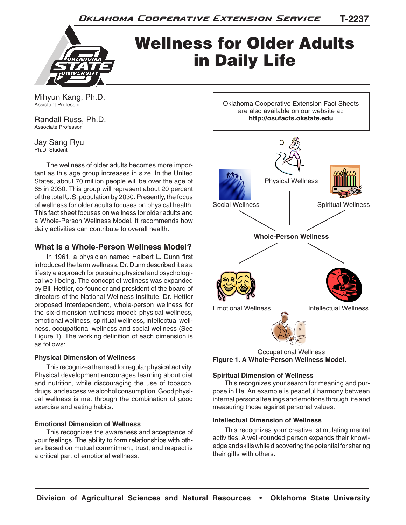

# Wellness for Older Adults in Daily Life

Mihyun Kang, Ph.D. Assistant Professor

Randall Russ, Ph.D. Associate Professor

Jay Sang Ryu Ph.D. Student

The wellness of older adults becomes more important as this age group increases in size. In the United States, about 70 million people will be over the age of 65 in 2030. This group will represent about 20 percent of the total U.S. population by 2030. Presently, the focus of wellness for older adults focuses on physical health. This fact sheet focuses on wellness for older adults and a Whole-Person Wellness Model. It recommends how daily activities can contribute to overall health.

## **What is a Whole-Person Wellness Model?**

In 1961, a physician named Halbert L. Dunn first introduced the term wellness. Dr. Dunn described it as a lifestyle approach for pursuing physical and psychological well-being. The concept of wellness was expanded by Bill Hettler, co-founder and president of the board of directors of the National Wellness Institute. Dr. Hettler proposed interdependent, whole-person wellness for the six-dimension wellness model: physical wellness, emotional wellness, spiritual wellness, intellectual wellness, occupational wellness and social wellness (See Figure 1). The working definition of each dimension is as follows:

## **Physical Dimension of Wellness**

This recognizes the need for regular physical activity. Physical development encourages learning about diet and nutrition, while discouraging the use of tobacco, drugs, and excessive alcohol consumption. Good physical wellness is met through the combination of good exercise and eating habits.

## **Emotional Dimension of Wellness**

This recognizes the awareness and acceptance of your feelings. The ability to form relationships with others based on mutual commitment, trust, and respect is a critical part of emotional wellness.

Oklahoma Cooperative Extension Fact Sheets are also available on our website at: **http://osufacts.okstate.edu**



Occupational Wellness **Figure 1. A Whole-Person Wellness Model.**

## **Spiritual Dimension of Wellness**

This recognizes your search for meaning and purpose in life. An example is peaceful harmony between internal personal feelings and emotions through life and measuring those against personal values.

## **Intellectual Dimension of Wellness**

This recognizes your creative, stimulating mental activities. A well-rounded person expands their knowledge and skills while discovering the potential for sharing their gifts with others.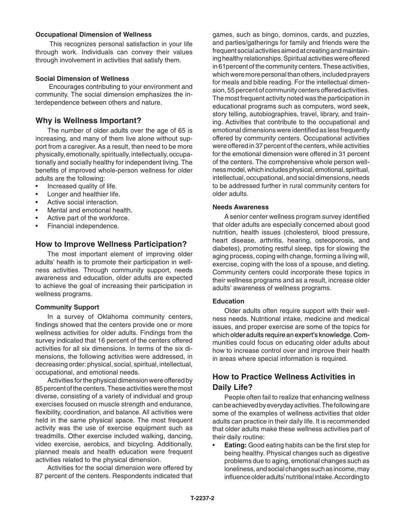#### **Occupational Dimension of Wellness**

 This recognizes personal satisfaction in your life through work. Individuals can convey their values through involvement in activities that satisfy them.

## **Social Dimension of Wellness**

 Encourages contributing to your environment and community. The social dimension emphasizes the interdependence between others and nature.

## **Why is Wellness Important?**

The number of older adults over the age of 65 is increasing, and many of them live alone without support from a caregiver. As a result, then need to be more physically, emotionally, spiritually, intellectually, occupationally and socially healthy for independent living. The benefits of improved whole-person wellness for older adults are the following:

- Increased quality of life.
- Longer and healthier life.
- Active social interaction
- Mental and emotional health.
- Active part of the workforce.
- Financial independence.

## **How to Improve Wellness Participation?**

The most important element of improving older adults' health is to promote their participation in wellness activities. Through community support, needs awareness and education, older adults are expected to achieve the goal of increasing their participation in wellness programs.

## **Community Support**

In a survey of Oklahoma community centers, findings showed that the centers provide one or more wellness activities for older adults. Findings from the survey indicated that 16 percent of the centers offered activities for all six dimensions. In terms of the six dimensions, the following activities were addressed, in decreasing order: physical, social, spiritual, intellectual, occupational, and emotional needs.

Activities for the physical dimension were offered by 85 percent of the centers. These activities were the most diverse, consisting of a variety of individual and group exercises focused on muscle strength and endurance, flexibility, coordination, and balance. All activities were held in the same physical space. The most frequent activity was the use of exercise equipment such as treadmills. Other exercise included walking, dancing, video exercise, aerobics, and bicycling. Additionally, planned meals and health education were frequent activities related to the physical dimension.

Activities for the social dimension were offered by 87 percent of the centers. Respondents indicated that games, such as bingo, dominos, cards, and puzzles, and parties/gatherings for family and friends were the frequent social activities aimed at creating and maintaining healthy relationships. Spiritual activities were offered in 61percent of the community centers. These activities, which were more personal than others, included prayers for meals and bible reading. For the intellectual dimension, 55 percent of community centers offered activities. The most frequent activity noted was the participation in educational programs such as computers, word seek, story telling, autobiographies, travel, library, and training. Activities that contribute to the occupational and emotional dimensions were identified as less frequently offered by community centers. Occupational activities were offered in 37 percent of the centers, while activities for the emotional dimension were offered in 31 percent of the centers. The comprehensive whole person wellness model, which includes physical, emotional, spiritual, intellectual, occupational, and social dimensions, needs to be addressed further in rural community centers for older adults.

#### **Needs Awareness**

A senior center wellness program survey identified that older adults are especially concerned about good nutrition, health issues (cholesterol, blood pressure, heart disease, arthritis, hearing, osteoporosis, and diabetes), promoting restful sleep, tips for slowing the aging process, coping with change, forming a living will, exercise, coping with the loss of a spouse, and dieting. Community centers could incorporate these topics in their wellness programs and as a result, increase older adults' awareness of wellness programs.

## **Education**

Older adults often require support with their wellness needs. Nutritional intake, medicine and medical issues, and proper exercise are some of the topics for which older adults require an expert's knowledge. Communities could focus on educating older adults about how to increase control over and improve their health in areas where special information is required.

## **How to Practice Wellness Activities in Daily Life?**

People often fail to realize that enhancing wellness can be achieved by everyday activities. The following are some of the examples of wellness activities that older adults can practice in their daily life. It is recommended that older adults make these wellness activities part of their daily routine:

• **Eating:** Good eating habits can be the first step for being healthy. Physical changes such as digestive problems due to aging, emotional changes such as loneliness, and social changes such as income, may influence older adults' nutritional intake. According to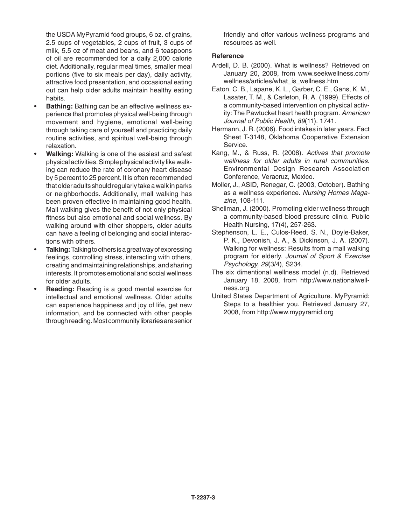the USDA MyPyramid food groups, 6 oz. of grains, 2.5 cups of vegetables, 2 cups of fruit, 3 cups of milk, 5.5 oz of meat and beans, and 6 teaspoons of oil are recommended for a daily 2,000 calorie diet. Additionally, regular meal times, smaller meal portions (five to six meals per day), daily activity, attractive food presentation, and occasional eating out can help older adults maintain healthy eating habits.

- **Bathing:** Bathing can be an effective wellness experience that promotes physical well-being through movement and hygiene, emotional well-being through taking care of yourself and practicing daily routine activities, and spiritual well-being through relaxation.
- **Walking:** Walking is one of the easiest and safest physical activities. Simple physical activity like walking can reduce the rate of coronary heart disease by 5 percent to 25 percent. It is often recommended that older adults should regularly take a walk in parks or neighborhoods. Additionally, mall walking has been proven effective in maintaining good health. Mall walking gives the benefit of not only physical fitness but also emotional and social wellness. By walking around with other shoppers, older adults can have a feeling of belonging and social interactions with others.
- **Talking:** Talking to others is a great way of expressing feelings, controlling stress, interacting with others, creating and maintaining relationships, and sharing interests. It promotes emotional and social wellness for older adults.
- **Reading:** Reading is a good mental exercise for intellectual and emotional wellness. Older adults can experience happiness and joy of life, get new information, and be connected with other people through reading. Most community libraries are senior

friendly and offer various wellness programs and resources as well.

#### **Reference**

- Ardell, D. B. (2000). What is wellness? Retrieved on January 20, 2008, from www.seekwellness.com/ wellness/articles/what\_is\_wellness.htm
- Eaton, C. B., Lapane, K. L., Garber, C. E., Gans, K. M., Lasater, T. M., & Carleton, R. A. (1999). Effects of a community-based intervention on physical activity: The Pawtucket heart health program. *American Journal of Public Health, 89*(11). 1741.
- Hermann, J. R. (2006). Food intakes in later years. Fact Sheet T-3148, Oklahoma Cooperative Extension Service.
- Kang, M., & Russ, R. (2008). *Actives that promote wellness for older adults in rural communities.* Environmental Design Research Association Conference, Veracruz, Mexico.
- Moller, J., ASID, Renegar, C. (2003, October). Bathing as a wellness experience. *Nursing Homes Magazine*, 108-111.
- Shellman, J. (2000). Promoting elder wellness through a community-based blood pressure clinic. Public Health Nursing, 17(4), 257-263.
- Stephenson, L. E., Culos-Reed, S. N., Doyle-Baker, P. K., Devonish, J. A., & Dickinson, J. A. (2007). Walking for wellness: Results from a mall walking program for elderly. *Journal of Sport & Exercise Psychology, 29*(3/4), S234.
- The six dimentional wellness model (n.d). Retrieved January 18, 2008, from http://www.nationalwellness.org
- United States Department of Agriculture. MyPyramid: Steps to a healthier you. Retrieved January 27, 2008, from http://www.mypyramid.org